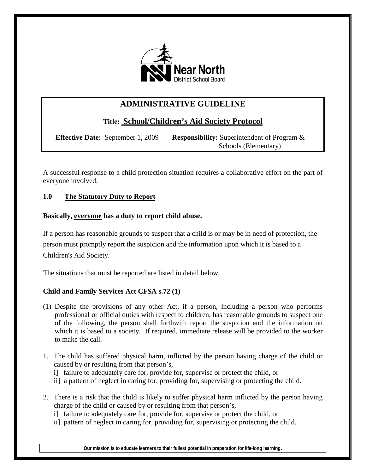

# **ADMINISTRATIVE GUIDELINE**

# **Title: School/Children's Aid Society Protocol**

 **Effective Date:** September 1, 2009 **Responsibility:** Superintendent of Program &

Schools (Elementary)

A successful response to a child protection situation requires a collaborative effort on the part of everyone involved.

# **1.0 The Statutory Duty to Report**

# **Basically, everyone has a duty to report child abuse.**

If a person has reasonable grounds to suspect that a child is or may be in need of protection, the person must promptly report the suspicion and the information upon which it is based to a Children's Aid Society.

The situations that must be reported are listed in detail below.

# **Child and Family Services Act CFSA s.72 (1)**

- (1) Despite the provisions of any other Act, if a person, including a person who performs professional or official duties with respect to children, has reasonable grounds to suspect one of the following, the person shall forthwith report the suspicion and the information on which it is based to a society. If required, immediate release will be provided to the worker to make the call.
- 1. The child has suffered physical harm, inflicted by the person having charge of the child or caused by or resulting from that person's,
	- i] failure to adequately care for, provide for, supervise or protect the child, or
	- ii] a pattern of neglect in caring for, providing for, supervising or protecting the child.
- 2. There is a risk that the child is likely to suffer physical harm inflicted by the person having charge of the child or caused by or resulting from that person's,
	- i] failure to adequately care for, provide for, supervise or protect the child, or
	- ii] pattern of neglect in caring for, providing for, supervising or protecting the child.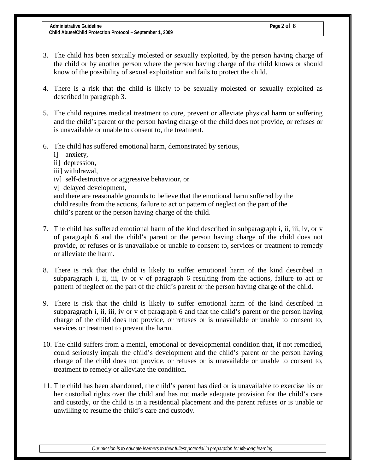- 3. The child has been sexually molested or sexually exploited, by the person having charge of the child or by another person where the person having charge of the child knows or should know of the possibility of sexual exploitation and fails to protect the child.
- 4. There is a risk that the child is likely to be sexually molested or sexually exploited as described in paragraph 3.
- 5. The child requires medical treatment to cure, prevent or alleviate physical harm or suffering and the child's parent or the person having charge of the child does not provide, or refuses or is unavailable or unable to consent to, the treatment.
- 6. The child has suffered emotional harm, demonstrated by serious,
	- i] anxiety,
	- ii] depression,
	- iii] withdrawal,
	- iv] self-destructive or aggressive behaviour, or
	- v] delayed development,

 and there are reasonable grounds to believe that the emotional harm suffered by the child results from the actions, failure to act or pattern of neglect on the part of the child's parent or the person having charge of the child.

- 7. The child has suffered emotional harm of the kind described in subparagraph i, ii, iii, iv, or v of paragraph 6 and the child's parent or the person having charge of the child does not provide, or refuses or is unavailable or unable to consent to, services or treatment to remedy or alleviate the harm.
- 8. There is risk that the child is likely to suffer emotional harm of the kind described in subparagraph i, ii, iii, iv or v of paragraph 6 resulting from the actions, failure to act or pattern of neglect on the part of the child's parent or the person having charge of the child.
- 9. There is risk that the child is likely to suffer emotional harm of the kind described in subparagraph i, ii, iii, iv or v of paragraph 6 and that the child's parent or the person having charge of the child does not provide, or refuses or is unavailable or unable to consent to, services or treatment to prevent the harm.
- 10. The child suffers from a mental, emotional or developmental condition that, if not remedied, could seriously impair the child's development and the child's parent or the person having charge of the child does not provide, or refuses or is unavailable or unable to consent to, treatment to remedy or alleviate the condition.
- 11. The child has been abandoned, the child's parent has died or is unavailable to exercise his or her custodial rights over the child and has not made adequate provision for the child's care and custody, or the child is in a residential placement and the parent refuses or is unable or unwilling to resume the child's care and custody.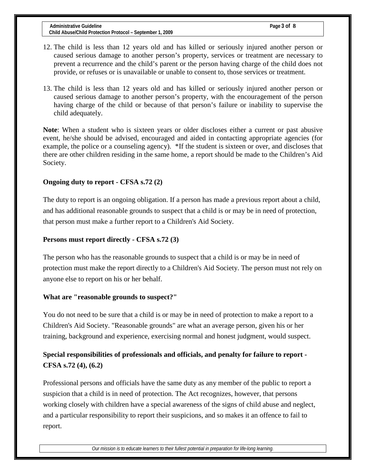- 12. The child is less than 12 years old and has killed or seriously injured another person or caused serious damage to another person's property, services or treatment are necessary to prevent a recurrence and the child's parent or the person having charge of the child does not provide, or refuses or is unavailable or unable to consent to, those services or treatment.
- 13. The child is less than 12 years old and has killed or seriously injured another person or caused serious damage to another person's property, with the encouragement of the person having charge of the child or because of that person's failure or inability to supervise the child adequately.

**Note**: When a student who is sixteen years or older discloses either a current or past abusive event, he/she should be advised, encouraged and aided in contacting appropriate agencies (for example, the police or a counseling agency). <sup>\*</sup>If the student is sixteen or over, and discloses that there are other children residing in the same home, a report should be made to the Children's Aid Society.

## **Ongoing duty to report - CFSA s.72 (2)**

The duty to report is an ongoing obligation. If a person has made a previous report about a child, and has additional reasonable grounds to suspect that a child is or may be in need of protection, that person must make a further report to a Children's Aid Society.

## **Persons must report directly - CFSA s.72 (3)**

The person who has the reasonable grounds to suspect that a child is or may be in need of protection must make the report directly to a Children's Aid Society. The person must not rely on anyone else to report on his or her behalf.

## **What are "reasonable grounds to suspect?"**

You do not need to be sure that a child is or may be in need of protection to make a report to a Children's Aid Society. "Reasonable grounds" are what an average person, given his or her training, background and experience, exercising normal and honest judgment, would suspect.

# **Special responsibilities of professionals and officials, and penalty for failure to report - CFSA s.72 (4), (6.2)**

Professional persons and officials have the same duty as any member of the public to report a suspicion that a child is in need of protection. The Act recognizes, however, that persons working closely with children have a special awareness of the signs of child abuse and neglect, and a particular responsibility to report their suspicions, and so makes it an offence to fail to report.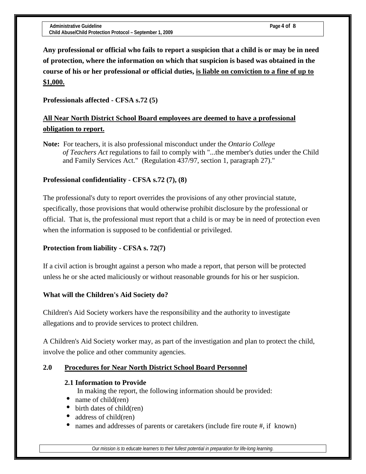**Any professional or official who fails to report a suspicion that a child is or may be in need of protection, where the information on which that suspicion is based was obtained in the course of his or her professional or official duties, is liable on conviction to a fine of up to \$1,000.** 

# **Professionals affected - CFSA s.72 (5)**

# **All Near North District School Board employees are deemed to have a professional obligation to report.**

**Note:** For teachers, it is also professional misconduct under the *Ontario College of Teachers Act* regulations to fail to comply with "...the member's duties under the Child and Family Services Act." (Regulation 437/97, section 1, paragraph 27)."

# **Professional confidentiality - CFSA s.72 (7), (8)**

The professional's duty to report overrides the provisions of any other provincial statute, specifically, those provisions that would otherwise prohibit disclosure by the professional or official. That is, the professional must report that a child is or may be in need of protection even when the information is supposed to be confidential or privileged.

# **Protection from liability - CFSA s. 72(7)**

If a civil action is brought against a person who made a report, that person will be protected unless he or she acted maliciously or without reasonable grounds for his or her suspicion.

# **What will the Children's Aid Society do?**

Children's Aid Society workers have the responsibility and the authority to investigate allegations and to provide services to protect children.

A Children's Aid Society worker may, as part of the investigation and plan to protect the child, involve the police and other community agencies.

# **2.0 Procedures for Near North District School Board Personnel**

# **2.1 Information to Provide**

In making the report, the following information should be provided:

- name of child(ren)
- birth dates of child(ren)
- address of child(ren)
- names and addresses of parents or caretakers (include fire route #, if known)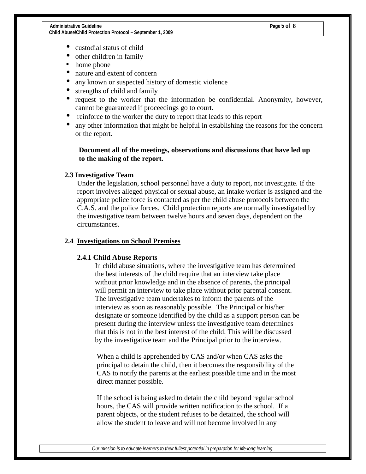- custodial status of child
- other children in family
- home phone
- nature and extent of concern
- any known or suspected history of domestic violence
- strengths of child and family
- request to the worker that the information be confidential. Anonymity, however, cannot be guaranteed if proceedings go to court.
- reinforce to the worker the duty to report that leads to this report
- any other information that might be helpful in establishing the reasons for the concern or the report.

## **Document all of the meetings, observations and discussions that have led up to the making of the report.**

## **2.3 Investigative Team**

Under the legislation, school personnel have a duty to report, not investigate. If the report involves alleged physical or sexual abuse, an intake worker is assigned and the appropriate police force is contacted as per the child abuse protocols between the C.A.S. and the police forces. Child protection reports are normally investigated by the investigative team between twelve hours and seven days, dependent on the circumstances.

### **2.4 Investigations on School Premises**

### **2.4.1 Child Abuse Reports**

 In child abuse situations, where the investigative team has determined the best interests of the child require that an interview take place without prior knowledge and in the absence of parents, the principal will permit an interview to take place without prior parental consent. The investigative team undertakes to inform the parents of the interview as soon as reasonably possible. The Principal or his/her designate or someone identified by the child as a support person can be present during the interview unless the investigative team determines that this is not in the best interest of the child. This will be discussed by the investigative team and the Principal prior to the interview.

 When a child is apprehended by CAS and/or when CAS asks the principal to detain the child, then it becomes the responsibility of the CAS to notify the parents at the earliest possible time and in the most direct manner possible.

 If the school is being asked to detain the child beyond regular school hours, the CAS will provide written notification to the school. If a parent objects, or the student refuses to be detained, the school will allow the student to leave and will not become involved in any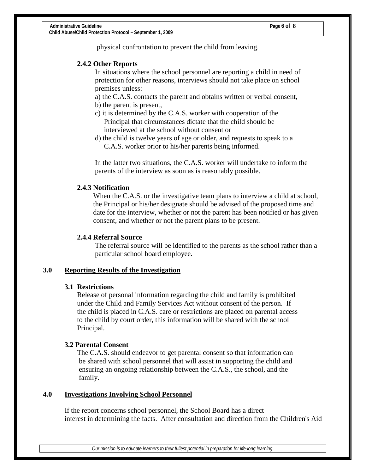physical confrontation to prevent the child from leaving.

### **2.4.2 Other Reports**

 In situations where the school personnel are reporting a child in need of protection for other reasons, interviews should not take place on school premises unless:

a) the C.A.S. contacts the parent and obtains written or verbal consent,

- b) the parent is present,
- c) it is determined by the C.A.S. worker with cooperation of the Principal that circumstances dictate that the child should be interviewed at the school without consent or
- d) the child is twelve years of age or older, and requests to speak to a C.A.S. worker prior to his/her parents being informed.

In the latter two situations, the C.A.S. worker will undertake to inform the parents of the interview as soon as is reasonably possible.

## **2.4.3 Notification**

When the C.A.S. or the investigative team plans to interview a child at school, the Principal or his/her designate should be advised of the proposed time and date for the interview, whether or not the parent has been notified or has given consent, and whether or not the parent plans to be present.

### **2.4.4 Referral Source**

The referral source will be identified to the parents as the school rather than a particular school board employee.

## **3.0 Reporting Results of the Investigation**

### **3.1 Restrictions**

Release of personal information regarding the child and family is prohibited under the Child and Family Services Act without consent of the person. If the child is placed in C.A.S. care or restrictions are placed on parental access to the child by court order, this information will be shared with the school Principal.

### **3.2 Parental Consent**

 The C.A.S. should endeavor to get parental consent so that information can be shared with school personnel that will assist in supporting the child and ensuring an ongoing relationship between the C.A.S., the school, and the family.

### **4.0 Investigations Involving School Personnel**

 If the report concerns school personnel, the School Board has a direct interest in determining the facts. After consultation and direction from the Children's Aid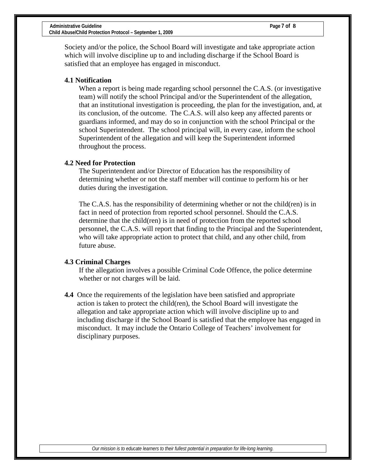Society and/or the police, the School Board will investigate and take appropriate action which will involve discipline up to and including discharge if the School Board is satisfied that an employee has engaged in misconduct.

### **4.1 Notification**

When a report is being made regarding school personnel the C.A.S. (or investigative team) will notify the school Principal and/or the Superintendent of the allegation, that an institutional investigation is proceeding, the plan for the investigation, and, at its conclusion, of the outcome. The C.A.S. will also keep any affected parents or guardians informed, and may do so in conjunction with the school Principal or the school Superintendent. The school principal will, in every case, inform the school Superintendent of the allegation and will keep the Superintendent informed throughout the process.

### **4.2 Need for Protection**

The Superintendent and/or Director of Education has the responsibility of determining whether or not the staff member will continue to perform his or her duties during the investigation.

The C.A.S. has the responsibility of determining whether or not the child(ren) is in fact in need of protection from reported school personnel. Should the C.A.S. determine that the child(ren) is in need of protection from the reported school personnel, the C.A.S. will report that finding to the Principal and the Superintendent, who will take appropriate action to protect that child, and any other child, from future abuse.

### **4.3 Criminal Charges**

If the allegation involves a possible Criminal Code Offence, the police determine whether or not charges will be laid.

**4.4** Once the requirements of the legislation have been satisfied and appropriate action is taken to protect the child(ren), the School Board will investigate the allegation and take appropriate action which will involve discipline up to and including discharge if the School Board is satisfied that the employee has engaged in misconduct. It may include the Ontario College of Teachers' involvement for disciplinary purposes.